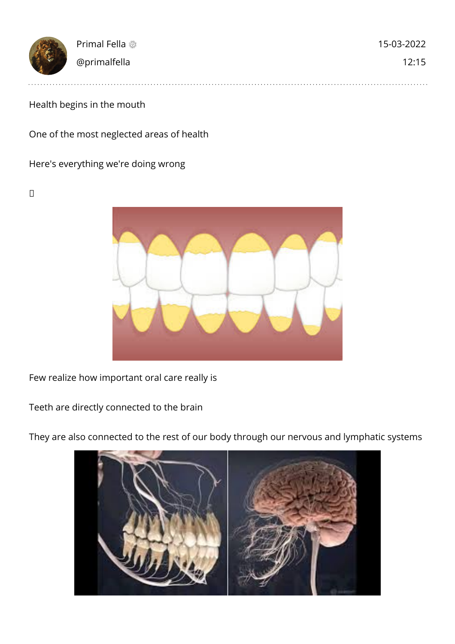| 大家 | Primal Fella | 15-03-2022 |
|----|--------------|------------|
|    | @primalfella | 12:15      |
|    |              |            |

## Health begins in the mouth

One of the most neglected areas of health

Here's everything we're doing wrong

 $\Box$ 



Few realize how important oral care really is

Teeth are directly connected to the brain



They are also connected to the rest of our body through our nervous and lymphatic systems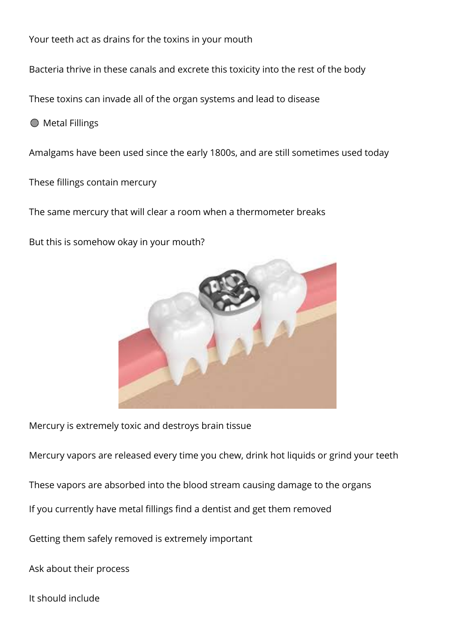Your teeth act as drains for the toxins in your mouth Bacteria thrive in these canals and excrete this toxicity into the rest of the body These toxins can invade all of the organ systems and lead to disease **Metal Fillings** Amalgams have been used since the early 1800s, and are still sometimes used today These fillings contain mercury

The same mercury that will clear a room when a thermometer breaks

But this is somehow okay in your mouth?



Mercury is extremely toxic and destroys brain tissue

Mercury vapors are released every time you chew, drink hot liquids or grind your teeth

These vapors are absorbed into the blood stream causing damage to the organs

If you currently have metal fillings find a dentist and get them removed

Getting them safely removed is extremely important

Ask about their process

It should include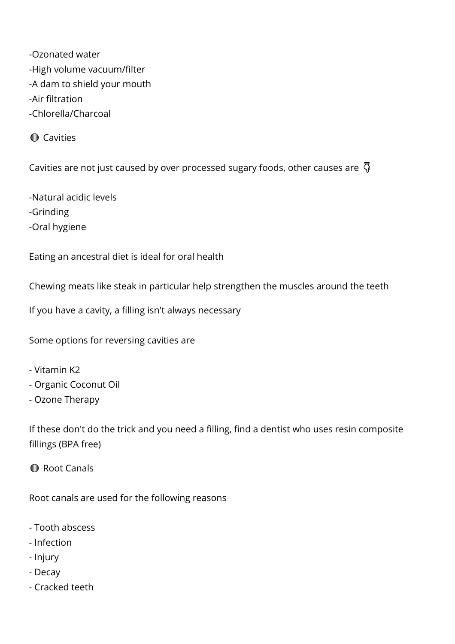-Ozonated water -High volume vacuum/filter -A dam to shield your mouth -Air filtration -Chlorella/Charcoal

*M* Cavities

Cavities are not just caused by over processed sugary foods, other causes are  $\bar{\varphi}$ 

-Natural acidic levels -Grinding -Oral hygiene

Eating an ancestral diet is ideal for oral health

Chewing meats like steak in particular help strengthen the muscles around the teeth

If you have a cavity, a filling isn't always necessary

Some options for reversing cavities are

- Vitamin K2
- Organic Coconut Oil
- Ozone Therapy

If these don't do the trick and you need a filling, find a dentist who uses resin composite fillings (BPA free)

**M** Root Canals

Root canals are used for the following reasons

- Tooth abscess
- Infection
- Injury
- Decay
- Cracked teeth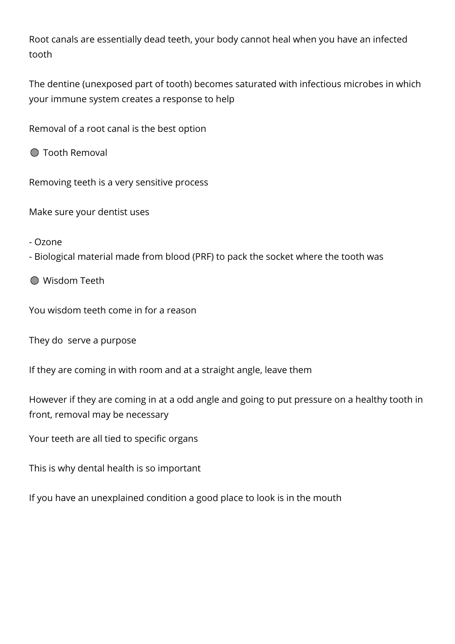Root canals are essentially dead teeth, your body cannot heal when you have an infected tooth

The dentine (unexposed part of tooth) becomes saturated with infectious microbes in which your immune system creates a response to help

Removal of a root canal is the best option

*M* Tooth Removal

Removing teeth is a very sensitive process

Make sure your dentist uses

- Ozone

- Biological material made from blood (PRF) to pack the socket where the tooth was

**M** Wisdom Teeth

You wisdom teeth come in for a reason

They do serve a purpose

If they are coming in with room and at a straight angle, leave them

However if they are coming in at a odd angle and going to put pressure on a healthy tooth in front, removal may be necessary

Your teeth are all tied to specific organs

This is why dental health is so important

If you have an unexplained condition a good place to look is in the mouth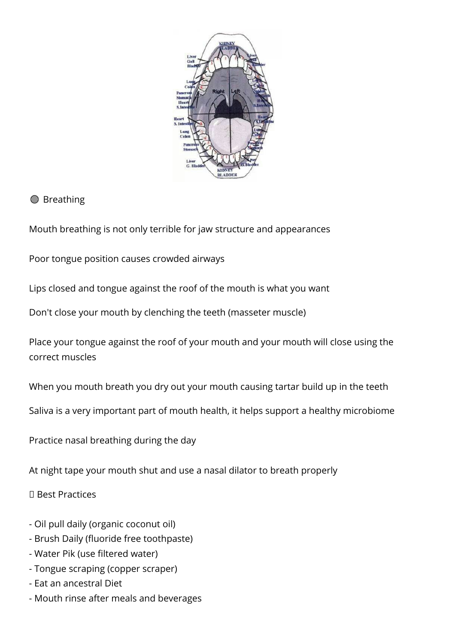

## **<sup>1</sup>**Breathing

Mouth breathing is not only terrible for jaw structure and appearances

Poor tongue position causes crowded airways

Lips closed and tongue against the roof of the mouth is what you want

Don't close your mouth by clenching the teeth (masseter muscle)

Place your tongue against the roof of your mouth and your mouth will close using the correct muscles

When you mouth breath you dry out your mouth causing tartar build up in the teeth

Saliva is a very important part of mouth health, it helps support a healthy microbiome

Practice nasal breathing during the day

At night tape your mouth shut and use a nasal dilator to breath properly

Best Practices

- Oil pull daily (organic coconut oil)
- Brush Daily (fluoride free toothpaste)
- Water Pik (use filtered water)
- Tongue scraping (copper scraper)
- Eat an ancestral Diet
- Mouth rinse after meals and beverages